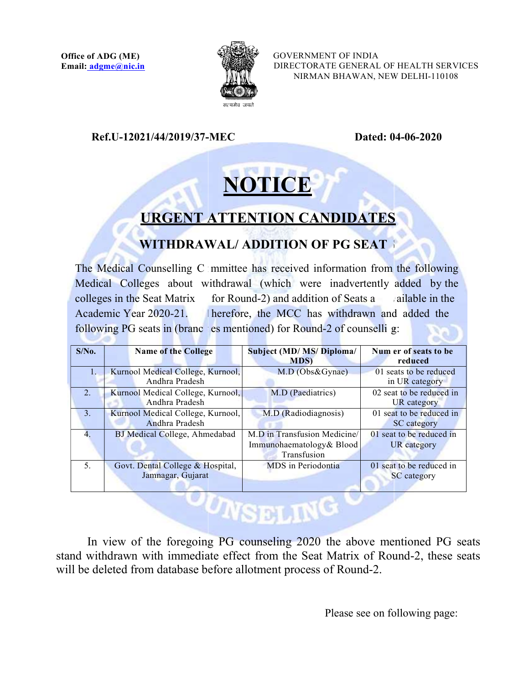

GOVERNMENT OF INDIA DIRECTORATE GENERAL OF HEALTH SERVICES NIRMAN BHAWAN, NEW DELHI

Ref.U-12021/44/2019/37 12021/44/2019/37-MEC Dated: 04

Dated: 04-06-2020

## NOTICE

## URGENT ATTENTION CANDIDATES URGENT ATTENTION

## WITHDRAWAL/ ADDITION OF PG SEAT  $\mathcal{L}$  such that  $\mathcal{L}$

The Medical Counselling C mmittee has received information from the following Medical Colleges about withdrawal (which were inadvertently added by the colleges in the Seat Matrix for Round-2) and addition of Seats a allable in the colleges in the Seat Matrix Academic Year 2020-21. Academic Year 2020-21. herefore, the MCC has withdrawn and added the following PG seats in (brance is mentioned) for Round-2 of counselli g: herefore, the MCC has withdrawn and added ailable in the  $g:$  and  $h$  are the set of  $h$  and  $h$  and  $h$  and  $h$  and  $h$  and  $h$  and  $h$  and  $h$  and  $h$  and  $h$  and  $h$  and  $h$  and  $h$  and  $h$  and  $h$  and  $h$  and  $h$  and  $h$  and  $h$  and  $h$  and  $h$  and  $h$  and  $h$  and  $h$  and GENERAL OF HEALTH SERVICES<br>HAWAN, NEW DELHI-110108<br>**Dated: 04-06-2020**<br>**Dated: 04-06-2020**<br>**CG SEAT**<br>mation from the following<br>advertently added by the<br>f Seats a cailable in the<br>thdrawn and added the<br>f counselli g:

| $S/N0$ . | <b>Name of the College</b>        | Subject (MD/ MS/ Diploma/    | Num er of seats to be    |  |  |  |  |
|----------|-----------------------------------|------------------------------|--------------------------|--|--|--|--|
|          |                                   | <b>MDS</b>                   | reduced                  |  |  |  |  |
| 1.       | Kurnool Medical College, Kurnool, | M.D (Obs&Gynae)              | 01 seats to be reduced   |  |  |  |  |
|          | Andhra Pradesh                    |                              | in UR category           |  |  |  |  |
| 2.       | Kurnool Medical College, Kurnool, | M.D (Paediatrics)            | 02 seat to be reduced in |  |  |  |  |
|          | Andhra Pradesh                    |                              | UR category              |  |  |  |  |
| 3.       | Kurnool Medical College, Kurnool, | M.D (Radiodiagnosis)         | 01 seat to be reduced in |  |  |  |  |
|          | Andhra Pradesh                    |                              | SC category              |  |  |  |  |
| 4.       | BJ Medical College, Ahmedabad     | M.D in Transfusion Medicine/ | 01 seat to be reduced in |  |  |  |  |
|          |                                   | Immunohaematology& Blood     | UR category              |  |  |  |  |
|          |                                   | Transfusion                  |                          |  |  |  |  |
| 5.       | Govt. Dental College & Hospital,  | MDS in Periodontia           | 01 seat to be reduced in |  |  |  |  |
|          | Jamnagar, Gujarat                 |                              | <b>SC</b> category       |  |  |  |  |
|          |                                   |                              |                          |  |  |  |  |
|          |                                   |                              |                          |  |  |  |  |
|          |                                   | <b>AUNICIPALITY</b>          |                          |  |  |  |  |
|          |                                   |                              |                          |  |  |  |  |
|          |                                   |                              |                          |  |  |  |  |

In view of the foregoing PG counseling 2020 the above mentioned PG seats stand withdrawn with immediate effect from the Seat Matrix of Round-2, these seats will be deleted from database before allotment process of Round-2.

Please see on following page: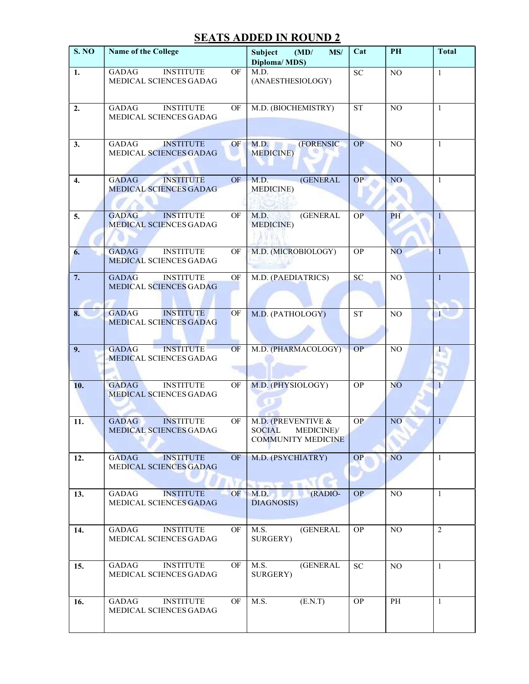## **SEATS ADDED IN ROUND 2**

| S. NO | <b>Name of the College</b>                                                  | MS/<br>Subject<br>(MD)<br>Diploma/MDS)                               | Cat                               | PH              | <b>Total</b>              |  |
|-------|-----------------------------------------------------------------------------|----------------------------------------------------------------------|-----------------------------------|-----------------|---------------------------|--|
| 1.    | <b>INSTITUTE</b><br>OF<br><b>GADAG</b><br>MEDICAL SCIENCES GADAG            | M.D.<br>(ANAESTHESIOLOGY)                                            | ${\rm SC}$                        | $_{\rm NO}$     | $\mathbf{1}$              |  |
| 2.    | <b>GADAG</b><br><b>INSTITUTE</b><br>OF<br>MEDICAL SCIENCES GADAG            | M.D. (BIOCHEMISTRY)                                                  | $\operatorname{ST}$               | $_{\rm NO}$     | 1                         |  |
| 3.    | <b>INSTITUTE</b><br><b>GADAG</b><br>OF<br>MEDICAL SCIENCES GADAG            | (FORENSIC<br>M.D.<br><b>MEDICINE</b> )                               | OP                                | NO              | $\mathbf{1}$              |  |
| 4.    | <b>INSTITUTE</b><br><b>GADAG</b><br><b>OF</b><br>MEDICAL SCIENCES GADAG     | <b>(GENERAL</b><br>M.D.<br>MEDICINE)                                 | OP                                | NO <sub>1</sub> | 1                         |  |
| 5.    | <b>INSTITUTE</b><br><b>GADAG</b><br>OF<br>MEDICAL SCIENCES GADAG            | <b>(GENERAL</b><br>M.D.<br><b>MEDICINE</b> )                         | OP                                | PH              | $\mathbf{1}$              |  |
| 6.    | <b>GADAG</b><br><b>INSTITUTE</b><br>OF<br>MEDICAL SCIENCES GADAG            | M.D. (MICROBIOLOGY)                                                  | OP                                | NO <sub>1</sub> | $\mathbf{1}$              |  |
| 7.    | <b>GADAG</b><br><b>INSTITUTE</b><br>OF<br>MEDICAL SCIENCES GADAG            | M.D. (PAEDIATRICS)                                                   | SC                                | N <sub>O</sub>  | 1                         |  |
| 8.    | <b>GADAG</b><br><b>INSTITUTE</b><br><b>OF</b><br>MEDICAL SCIENCES GADAG     | M.D. (PATHOLOGY)                                                     | <b>ST</b>                         | N <sub>O</sub>  | $\sim$                    |  |
| 9.    | <b>INSTITUTE</b><br>OF<br><b>GADAG</b><br>MEDICAL SCIENCES GADAG            | M.D. (PHARMACOLOGY)                                                  | OP                                | NO              | $\mathbf{1}_{\mathbf{2}}$ |  |
| 10.   | <b>INSTITUTE</b><br>$\mathrm{OF}$<br><b>GADAG</b><br>MEDICAL SCIENCES GADAG | M.D. (PHYSIOLOGY)                                                    | OP                                | N <sub>O</sub>  | $\mathbf{1}$              |  |
| 11.   | <b>INSTITUTE</b><br>OF<br><b>GADAG</b><br>MEDICAL SCIENCES GADAG            | M.D. (PREVENTIVE &<br>SOCIAL MEDICINE)/<br><b>COMMUNITY MEDICINE</b> | <b>OP</b>                         | NO <sub>1</sub> | 1                         |  |
| 12.   | OF<br><b>GADAG</b><br><b>INSTITUTE</b><br>MEDICAL SCIENCES GADAG            | M.D. (PSYCHIATRY)                                                    | OP                                | NO <sub>1</sub> | $\overline{1}$            |  |
| 13.   | <b>INSTITUTE</b><br>OF<br>GADAG<br>MEDICAL SCIENCES GADAG                   | M.D.<br>(RADIO-<br>DIAGNOSIS)                                        | <b>OP</b>                         | NO.             | $\overline{1}$            |  |
| 14.   | <b>INSTITUTE</b><br>OF<br>GADAG<br>MEDICAL SCIENCES GADAG                   | <b>(GENERAL</b><br>M.S.<br>SURGERY)                                  | <b>OP</b>                         | NO.             | $\overline{2}$            |  |
| 15.   | <b>INSTITUTE</b><br>OF<br>GADAG<br>MEDICAL SCIENCES GADAG                   | <b>(GENERAL</b><br>M.S.<br>SURGERY)                                  | $\ensuremath{\mathbf{SC}}\xspace$ | $_{\rm NO}$     | $\mathbf{1}$              |  |
| 16.   | <b>INSTITUTE</b><br>OF<br>GADAG<br>MEDICAL SCIENCES GADAG                   | (E.N.T)<br>M.S.                                                      | OP                                | PH              | $\overline{1}$            |  |